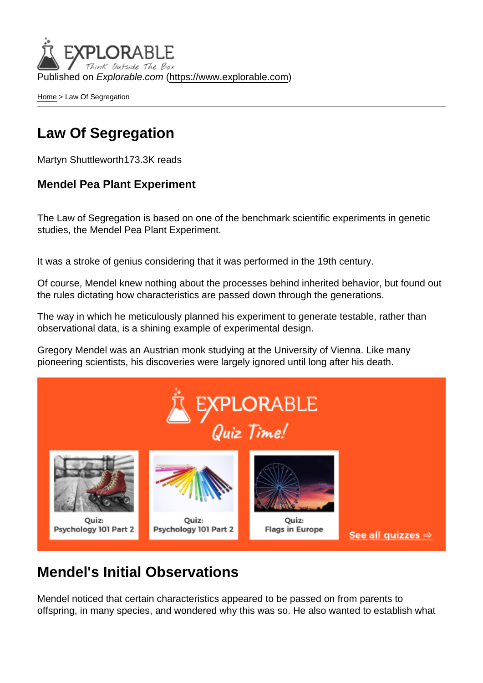Published on Explorable.com (<https://www.explorable.com>)

[Home](https://www.explorable.com/) > Law Of Segregation

### Law Of Segregation

Martyn Shuttleworth173.3K reads

Mendel Pea Plant Experiment

The Law of Segregation is based on one of the benchmark scientific experiments in genetic studies, the Mendel Pea Plant Experiment.

It was a stroke of genius considering that it was performed in the 19th century.

Of course, Mendel knew nothing about the processes behind inherited behavior, but found out the rules dictating how characteristics are passed down through the generations.

The way in which he meticulously planned his experiment to generate testable, rather than observational data, is a shining example of experimental design.

Gregory Mendel was an Austrian monk studying at the University of Vienna. Like many pioneering scientists, his discoveries were largely ignored until long after his death.

#### Mendel's Initial Observations

Mendel noticed that certain characteristics appeared to be passed on from parents to offspring, in many species, and wondered why this was so. He also wanted to establish what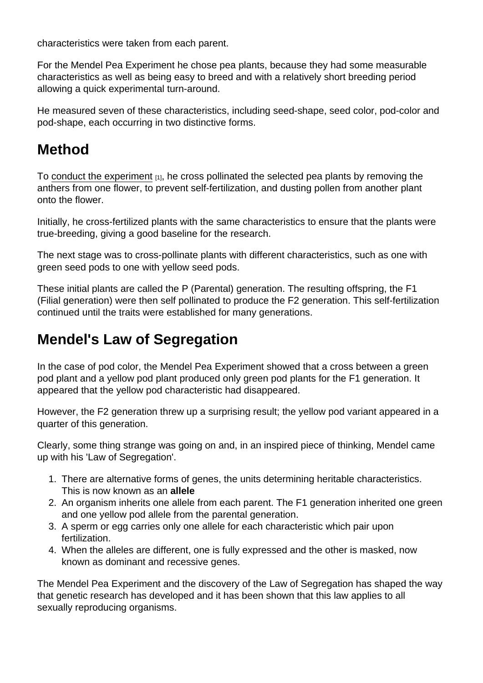characteristics were taken from each parent.

For the Mendel Pea Experiment he chose pea plants, because they had some measurable characteristics as well as being easy to breed and with a relatively short breeding period allowing a quick experimental turn-around.

He measured seven of these characteristics, including seed-shape, seed color, pod-color and pod-shape, each occurring in two distinctive forms.

#### Method

To [conduct the experiment](https://www.explorable.com/conducting-an-experiment) [1], he cross pollinated the selected pea plants by removing the anthers from one flower, to prevent self-fertilization, and dusting pollen from another plant onto the flower.

Initially, he cross-fertilized plants with the same characteristics to ensure that the plants were true-breeding, giving a good baseline for the research.

The next stage was to cross-pollinate plants with different characteristics, such as one with green seed pods to one with yellow seed pods.

These initial plants are called the P (Parental) generation. The resulting offspring, the F1 (Filial generation) were then self pollinated to produce the F2 generation. This self-fertilization continued until the traits were established for many generations.

## Mendel's Law of Segregation

In the case of pod color, the Mendel Pea Experiment showed that a cross between a green pod plant and a yellow pod plant produced only green pod plants for the F1 generation. It appeared that the yellow pod characteristic had disappeared.

However, the F2 generation threw up a surprising result; the yellow pod variant appeared in a quarter of this generation.

Clearly, some thing strange was going on and, in an inspired piece of thinking, Mendel came up with his 'Law of Segregation'.

- 1. There are alternative forms of genes, the units determining heritable characteristics. This is now known as an allele
- 2. An organism inherits one allele from each parent. The F1 generation inherited one green and one yellow pod allele from the parental generation.
- 3. A sperm or egg carries only one allele for each characteristic which pair upon fertilization.
- 4. When the alleles are different, one is fully expressed and the other is masked, now known as dominant and recessive genes.

The Mendel Pea Experiment and the discovery of the Law of Segregation has shaped the way that genetic research has developed and it has been shown that this law applies to all sexually reproducing organisms.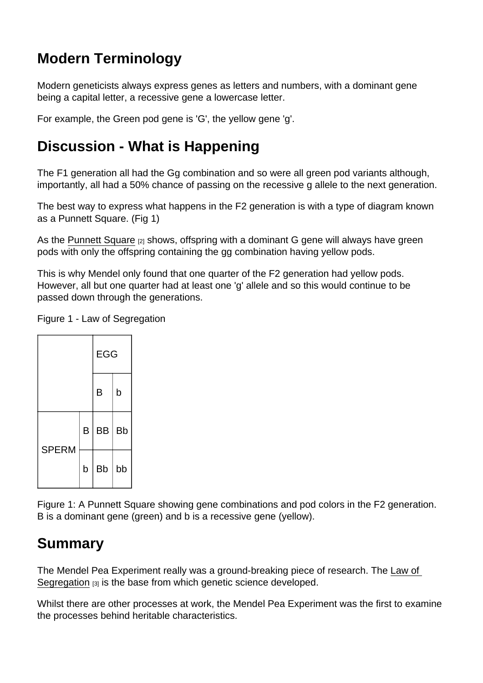## Modern Terminology

Modern geneticists always express genes as letters and numbers, with a dominant gene being a capital letter, a recessive gene a lowercase letter.

For example, the Green pod gene is 'G', the yellow gene 'g'.

## Discussion - What is Happening

The F1 generation all had the Gg combination and so were all green pod variants although, importantly, all had a 50% chance of passing on the recessive g allele to the next generation.

The best way to express what happens in the F2 generation is with a type of diagram known as a Punnett Square. (Fig 1)

As the [Punnett Square](http://en.wikipedia.org/wiki/Punnett_square) [2] shows, offspring with a dominant G gene will always have green pods with only the offspring containing the gg combination having yellow pods.

This is why Mendel only found that one quarter of the F2 generation had yellow pods. However, all but one quarter had at least one 'g' allele and so this would continue to be passed down through the generations.

Figure 1 - Law of Segregation



Figure 1: A Punnett Square showing gene combinations and pod colors in the F2 generation. B is a dominant gene (green) and b is a recessive gene (yellow).

## Summary

The Mendel Pea Experiment really was a ground-breaking piece of research. The [Law of](http://en.wikipedia.org/wiki/Mendelian_inheritance)  [Segregation](http://en.wikipedia.org/wiki/Mendelian_inheritance) [3] is the base from which genetic science developed.

Whilst there are other processes at work, the Mendel Pea Experiment was the first to examine the processes behind heritable characteristics.